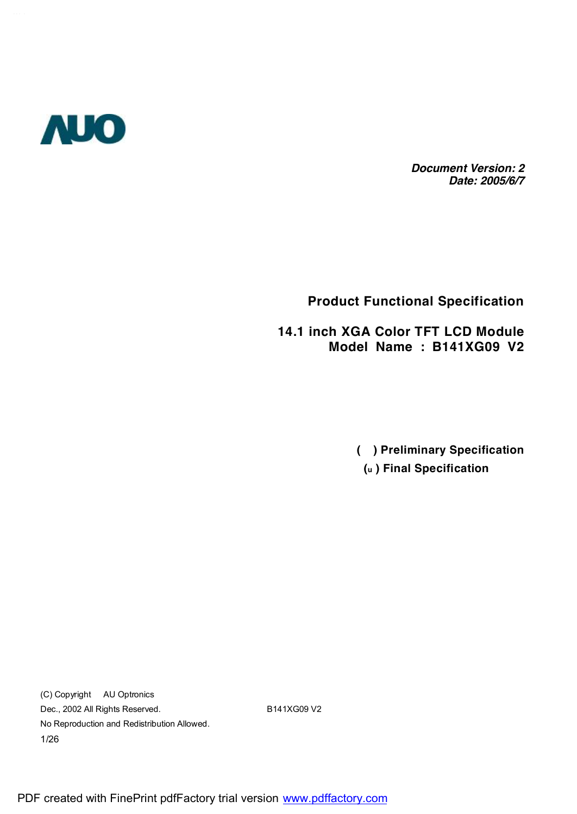

*Document Version: 2 Date: 2005/6/7*

## **Product Functional Specification**

**14.1 inch XGA Color TFT LCD Module Model Name : B141XG09 V2**

> **( ) Preliminary Specification (u ) Final Specification**

(C) Copyright AU Optronics Dec., 2002 All Rights Reserved. B141XG09 V2 No Reproduction and Redistribution Allowed. 1/26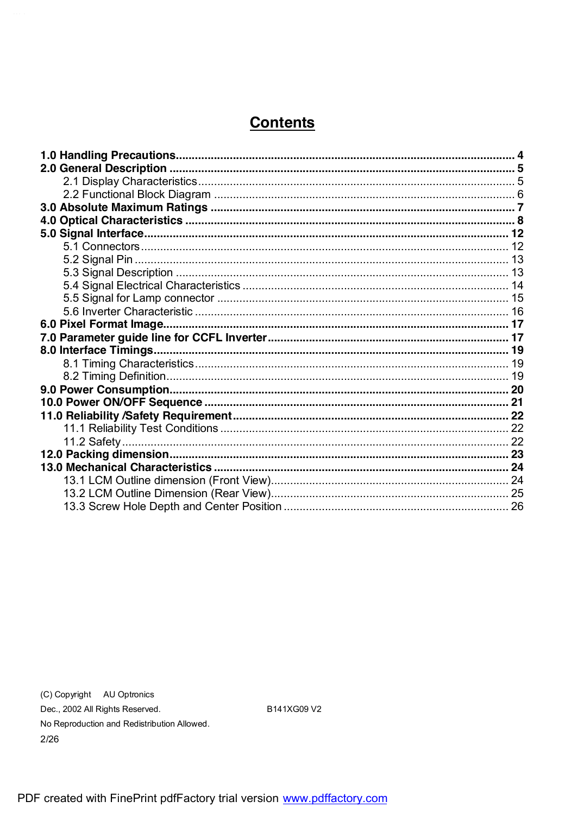# **Contents**

(C) Copyright AU Optronics Dec., 2002 All Rights Reserved. No Reproduction and Redistribution Allowed.  $2/26$ 

B141XG09 V2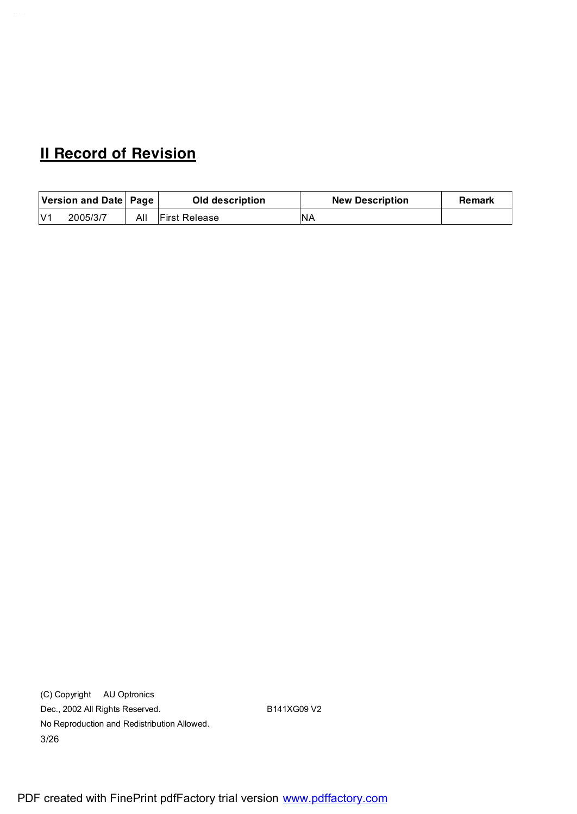# **II Record of Revision**

|     | Version and Date   Page |     | Old description       | <b>New Description</b> | Remark |
|-----|-------------------------|-----|-----------------------|------------------------|--------|
| N/1 | 2005/3/7                | All | <b>IFirst Release</b> | <b>NA</b>              |        |

(C) Copyright AU Optronics Dec., 2002 All Rights Reserved. B141XG09 V2 No Reproduction and Redistribution Allowed. 3/26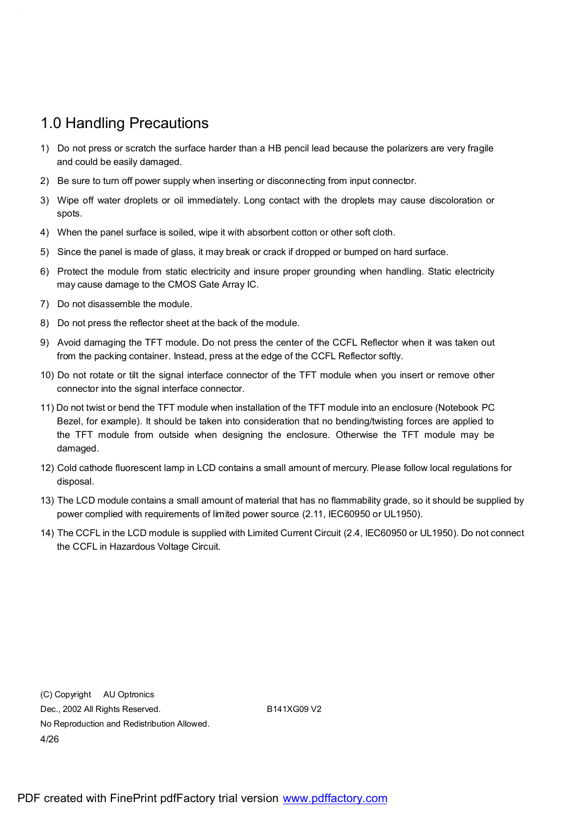## 1.0 Handling Precautions

- 1) Do not press or scratch the surface harder than a HB pencil lead because the polarizers are very fragile and could be easily damaged.
- 2) Be sure to turn off power supply when inserting or disconnecting from input connector.
- 3) Wipe off water droplets or oil immediately. Long contact with the droplets may cause discoloration or spots.
- 4) When the panel surface is soiled, wipe it with absorbent cotton or other soft cloth.
- 5) Since the panel is made of glass, it may break or crack if dropped or bumped on hard surface.
- 6) Protect the module from static electricity and insure proper grounding when handling. Static electricity may cause damage to the CMOS Gate Array IC.
- 7) Do not disassemble the module.
- 8) Do not press the reflector sheet at the back of the module.
- 9) Avoid damaging the TFT module. Do not press the center of the CCFL Reflector when it was taken out from the packing container. Instead, press at the edge of the CCFL Reflector softly.
- 10) Do not rotate or tilt the signal interface connector of the TFT module when you insert or remove other connector into the signal interface connector.
- 11) Do not twist or bend the TFT module when installation of the TFT module into an enclosure (Notebook PC Bezel, for example). It should be taken into consideration that no bending/twisting forces are applied to the TFT module from outside when designing the enclosure. Otherwise the TFT module may be damaged.
- 12) Cold cathode fluorescent lamp in LCD contains a small amount of mercury. Please follow local regulations for disposal.
- 13) The LCD module contains a small amount of material that has no flammability grade, so it should be supplied by power complied with requirements of limited power source (2.11, IEC60950 or UL1950).
- 14) The CCFL in the LCD module is supplied with Limited Current Circuit (2.4, IEC60950 or UL1950). Do not connect the CCFL in Hazardous Voltage Circuit.

(C) Copyright AU Optronics Dec., 2002 All Rights Reserved. B141XG09 V2 No Reproduction and Redistribution Allowed. 4/26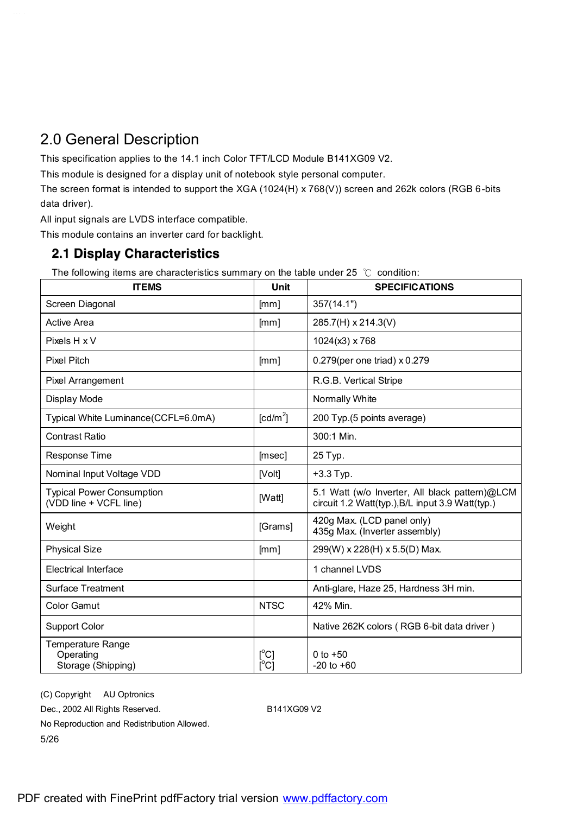# 2.0 General Description

This specification applies to the 14.1 inch Color TFT/LCD Module B141XG09 V2.

This module is designed for a display unit of notebook style personal computer.

The screen format is intended to support the XGA (1024(H) x 768(V)) screen and 262k colors (RGB 6-bits data driver).

All input signals are LVDS interface compatible.

This module contains an inverter card for backlight.

#### **2.1 Display Characteristics**

The following items are characteristics summary on the table under 25  $°C$  condition:

| <b>ITEMS</b>                                                | Unit                                            | <b>SPECIFICATIONS</b>                                                                              |
|-------------------------------------------------------------|-------------------------------------------------|----------------------------------------------------------------------------------------------------|
| Screen Diagonal                                             | [mm]                                            | 357(14.1")                                                                                         |
| <b>Active Area</b>                                          | [mm]                                            | 285.7(H) x 214.3(V)                                                                                |
| Pixels H x V                                                |                                                 | 1024(x3) x 768                                                                                     |
| <b>Pixel Pitch</b>                                          | [mm]                                            | 0.279(per one triad) x 0.279                                                                       |
| Pixel Arrangement                                           |                                                 | R.G.B. Vertical Stripe                                                                             |
| Display Mode                                                |                                                 | Normally White                                                                                     |
| Typical White Luminance (CCFL=6.0mA)                        | $\text{[cd/m}^2$                                | 200 Typ.(5 points average)                                                                         |
| <b>Contrast Ratio</b>                                       |                                                 | 300:1 Min.                                                                                         |
| Response Time                                               | [msec]                                          | 25 Typ.                                                                                            |
| Nominal Input Voltage VDD                                   | [Volt]                                          | $+3.3$ Typ.                                                                                        |
| <b>Typical Power Consumption</b><br>(VDD line + VCFL line)  | [Watt]                                          | 5.1 Watt (w/o Inverter, All black pattern)@LCM<br>circuit 1.2 Watt(typ.), B/L input 3.9 Watt(typ.) |
| Weight                                                      | [Grams]                                         | 420g Max. (LCD panel only)<br>435g Max. (Inverter assembly)                                        |
| <b>Physical Size</b>                                        | [mm]                                            | 299(W) x 228(H) x 5.5(D) Max.                                                                      |
| <b>Electrical Interface</b>                                 |                                                 | 1 channel LVDS                                                                                     |
| <b>Surface Treatment</b>                                    |                                                 | Anti-glare, Haze 25, Hardness 3H min.                                                              |
| <b>Color Gamut</b>                                          | <b>NTSC</b>                                     | 42% Min.                                                                                           |
| <b>Support Color</b>                                        |                                                 | Native 262K colors (RGB 6-bit data driver)                                                         |
| <b>Temperature Range</b><br>Operating<br>Storage (Shipping) | $\mathop{\rm l}{\rm c}{\rm l}$<br>$[^{\circ}C]$ | 0 to $+50$<br>$-20$ to $+60$                                                                       |

(C) Copyright AU Optronics Dec., 2002 All Rights Reserved. B141XG09 V2 No Reproduction and Redistribution Allowed. 5/26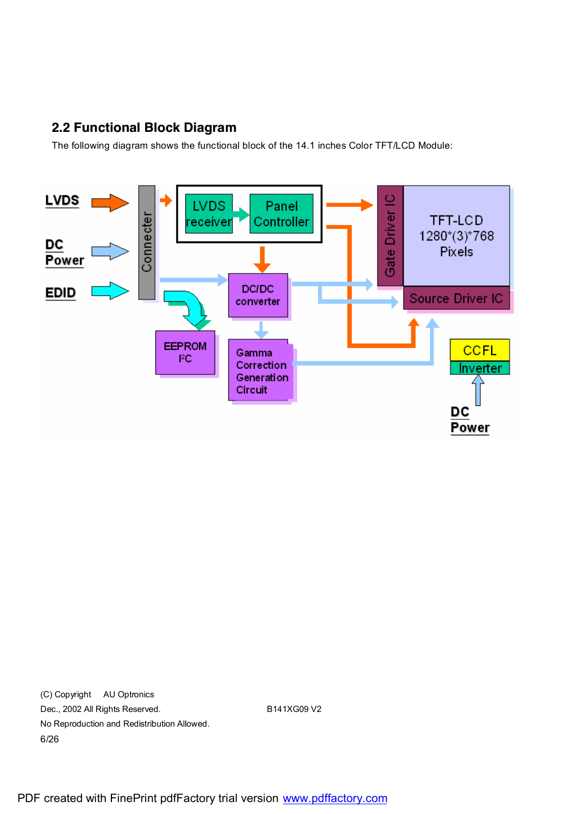#### **2.2 Functional Block Diagram**

The following diagram shows the functional block of the 14.1 inches Color TFT/LCD Module:



(C) Copyright AU Optronics Dec., 2002 All Rights Reserved. B141XG09 V2 No Reproduction and Redistribution Allowed. 6/26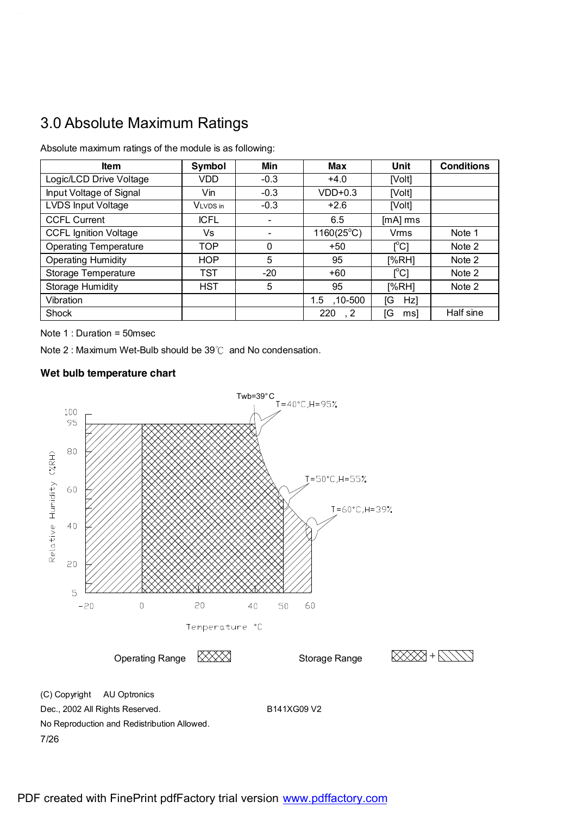# 3.0 Absolute Maximum Ratings

| <b>Item</b>                  | Symbol      | Min      | <b>Max</b>          | Unit                                    | <b>Conditions</b> |
|------------------------------|-------------|----------|---------------------|-----------------------------------------|-------------------|
| Logic/LCD Drive Voltage      | <b>VDD</b>  | $-0.3$   | $+4.0$              | [Volt]                                  |                   |
| Input Voltage of Signal      | Vin         | $-0.3$   | $VDD+0.3$           | [Volt]                                  |                   |
| LVDS Input Voltage           | VLVDS in    | $-0.3$   | $+2.6$              | [Volt]                                  |                   |
| <b>CCFL Current</b>          | <b>ICFL</b> | -        | 6.5                 | $[mA]$ rms                              |                   |
| <b>CCFL Ignition Voltage</b> | Vs          |          | $1160(25^{\circ}C)$ | Vrms                                    | Note 1            |
| <b>Operating Temperature</b> | <b>TOP</b>  | $\Omega$ | $+50$               | $\mathsf{I}^\circ\mathsf{C}$            | Note 2            |
| <b>Operating Humidity</b>    | <b>HOP</b>  | 5        | 95                  | [%RH]                                   | Note 2            |
| <b>Storage Temperature</b>   | <b>TST</b>  | $-20$    | $+60$               | $\mathsf{I}^\circ\mathsf{C} \mathsf{I}$ | Note 2            |
| <b>Storage Humidity</b>      | <b>HST</b>  | 5        | 95                  | [%RH]                                   | Note 2            |
| Vibration                    |             |          | ,10-500<br>1.5      | ſG<br>Hz                                |                   |
| Shock                        |             |          | 220<br>, 2          | ſG<br>msl                               | Half sine         |
|                              |             |          |                     |                                         |                   |

Absolute maximum ratings of the module is as following:

Note 1 : Duration = 50msec

Note 2 : Maximum Wet-Bulb should be 39℃ and No condensation.

#### **Wet bulb temperature chart**

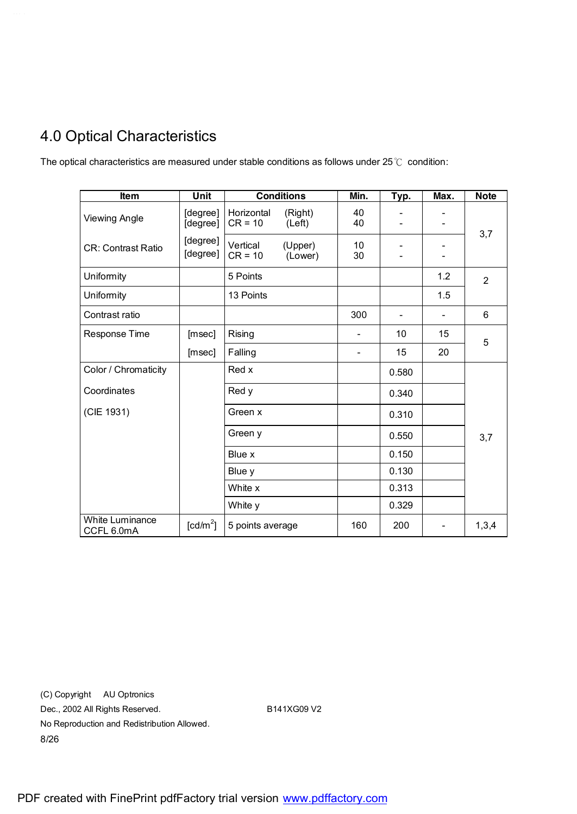# 4.0 Optical Characteristics

The optical characteristics are measured under stable conditions as follows under 25℃ condition:

| Item                                 | Unit                 |                         | <b>Conditions</b>  | Min.     | Typ.  | Max. | <b>Note</b>    |
|--------------------------------------|----------------------|-------------------------|--------------------|----------|-------|------|----------------|
| <b>Viewing Angle</b>                 | [degree]<br>[degree] | Horizontal<br>$CR = 10$ | (Right)<br>(Left)  | 40<br>40 |       |      |                |
| <b>CR: Contrast Ratio</b>            | [degree]<br>[degree] | Vertical<br>$CR = 10$   | (Upper)<br>(Lower) | 10<br>30 |       |      | 3,7            |
| Uniformity                           |                      | 5 Points                |                    |          |       | 1.2  | $\overline{2}$ |
| Uniformity                           |                      | 13 Points               |                    |          |       | 1.5  |                |
| Contrast ratio                       |                      |                         |                    | 300      |       |      | 6              |
| Response Time                        | [msec]               | Rising                  |                    |          | 10    | 15   | 5              |
|                                      | [msec]               | Falling                 |                    |          | 15    | 20   |                |
| Color / Chromaticity                 |                      | Red x                   |                    |          | 0.580 |      |                |
| Coordinates                          |                      | Red y                   |                    |          | 0.340 |      |                |
| (CIE 1931)                           |                      | Green x                 |                    |          | 0.310 |      |                |
|                                      |                      | Green y                 |                    |          | 0.550 |      | 3,7            |
|                                      |                      | Blue x                  |                    |          | 0.150 |      |                |
|                                      |                      | Blue y                  |                    |          | 0.130 |      |                |
|                                      |                      | White x                 |                    |          | 0.313 |      |                |
|                                      |                      | White y                 |                    |          | 0.329 |      |                |
| <b>White Luminance</b><br>CCFL 6.0mA | [ $cd/m2$ ]          | 5 points average        |                    | 160      | 200   |      | 1,3,4          |

(C) Copyright AU Optronics Dec., 2002 All Rights Reserved. B141XG09 V2 No Reproduction and Redistribution Allowed. 8/26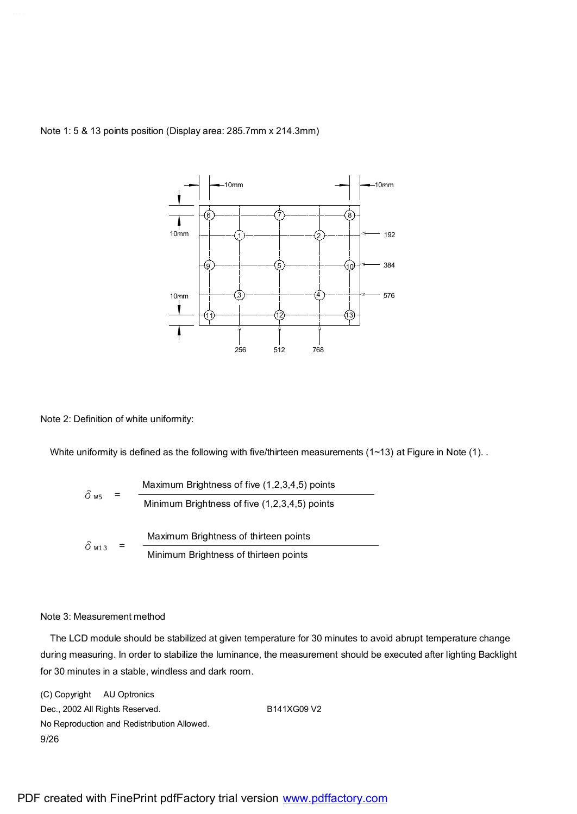

Note 1: 5 & 13 points position (Display area: 285.7mm x 214.3mm)

Note 2: Definition of white uniformity:

White uniformity is defined as the following with five/thirteen measurements (1~13) at Figure in Note (1). .

$$
\delta_{\text{W5}} = \frac{\text{Maximum Brighness of five } (1,2,3,4,5) \text{ points}}{\text{Minimum Brighness of five } (1,2,3,4,5) \text{ points}}
$$
\n
$$
\delta_{\text{W13}} = \frac{\text{Maximum Brighness of thirteen points}}{\text{Minimum Brightness of thirteen points}}
$$

#### Note 3: Measurement method

The LCD module should be stabilized at given temperature for 30 minutes to avoid abrupt temperature change during measuring. In order to stabilize the luminance, the measurement should be executed after lighting Backlight for 30 minutes in a stable, windless and dark room.

(C) Copyright AU Optronics Dec., 2002 All Rights Reserved. B141XG09 V2 No Reproduction and Redistribution Allowed. 9/26

PDF created with FinePrint pdfFactory trial version [www.pdffactory.com](http://www.pdffactory.com)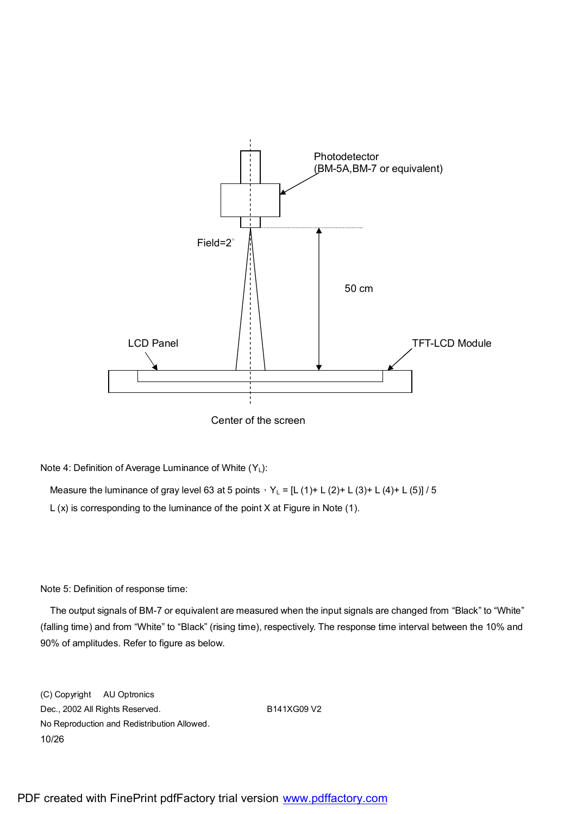

Center of the screen

Note 4: Definition of Average Luminance of White  $(Y_L)$ :

Measure the luminance of gray level 63 at 5 points,  $Y_L = [L (1) + L (2) + L (3) + L (4) + L (5)] / 5$ L (x) is corresponding to the luminance of the point X at Figure in Note (1).

Note 5: Definition of response time:

The output signals of BM-7 or equivalent are measured when the input signals are changed from "Black" to "White" (falling time) and from "White" to "Black" (rising time), respectively. The response time interval between the 10% and 90% of amplitudes. Refer to figure as below.

(C) Copyright AU Optronics Dec., 2002 All Rights Reserved. B141XG09 V2 No Reproduction and Redistribution Allowed. 10/26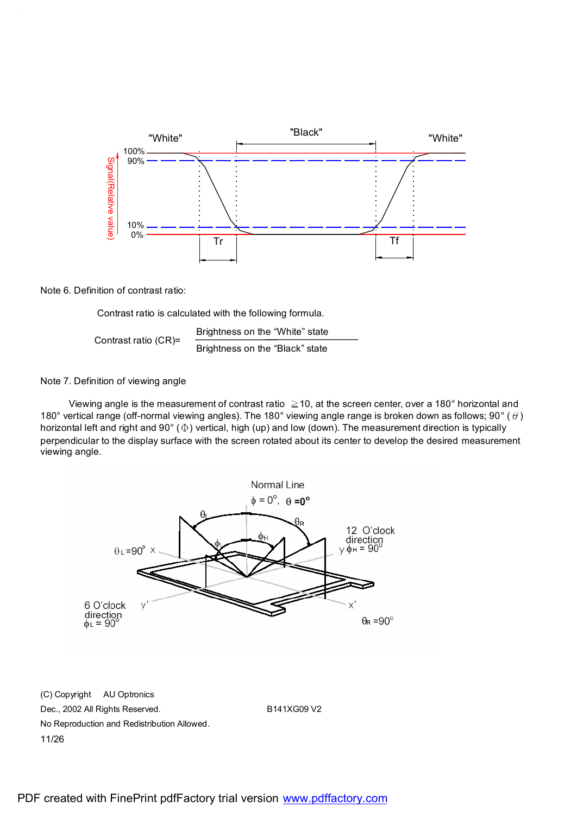

Note 6. Definition of contrast ratio:

Contrast ratio is calculated with the following formula.

Contrast ratio (CR)= Brightness on the "White" state Brightness on the "Black" state

#### Note 7. Definition of viewing angle

Viewing angle is the measurement of contrast ratio  $\geq$  10, at the screen center, over a 180 $^{\circ}$  horizontal and 180° vertical range (off-normal viewing angles). The 180° viewing angle range is broken down as follows; 90° ( $\theta$ ) horizontal left and right and 90° (Φ) vertical, high (up) and low (down). The measurement direction is typically perpendicular to the display surface with the screen rotated about its center to develop the desired measurement viewing angle.

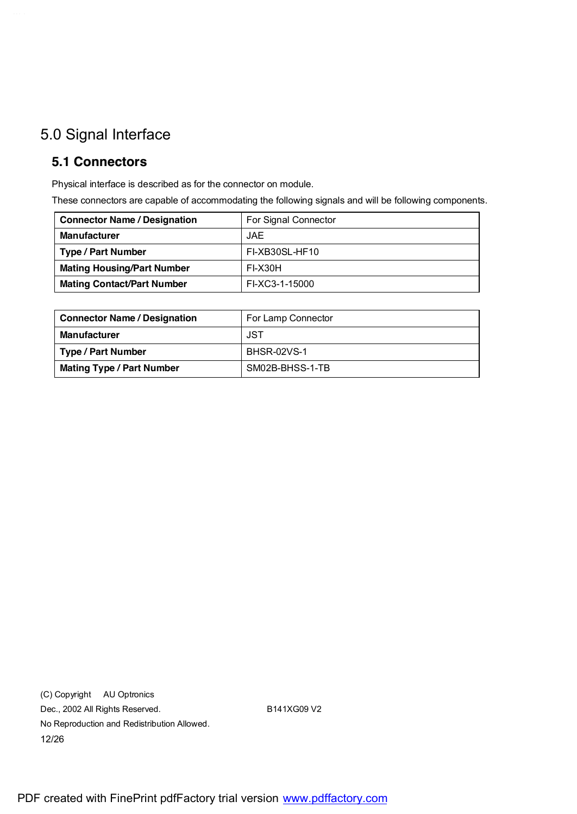# 5.0 Signal Interface

#### **5.1 Connectors**

Physical interface is described as for the connector on module.

These connectors are capable of accommodating the following signals and will be following components.

| <b>Connector Name / Designation</b> | For Signal Connector |
|-------------------------------------|----------------------|
| <b>Manufacturer</b>                 | <b>JAE</b>           |
| <b>Type / Part Number</b>           | FI-XB30SL-HF10       |
| <b>Mating Housing/Part Number</b>   | FI-X30H              |
| <b>Mating Contact/Part Number</b>   | FI-XC3-1-15000       |

| <b>Connector Name / Designation</b> | For Lamp Connector |
|-------------------------------------|--------------------|
| <b>Manufacturer</b>                 | JST                |
| Type / Part Number                  | <b>BHSR-02VS-1</b> |
| <b>Mating Type / Part Number</b>    | SM02B-BHSS-1-TB    |

(C) Copyright AU Optronics Dec., 2002 All Rights Reserved. B141XG09 V2 No Reproduction and Redistribution Allowed. 12/26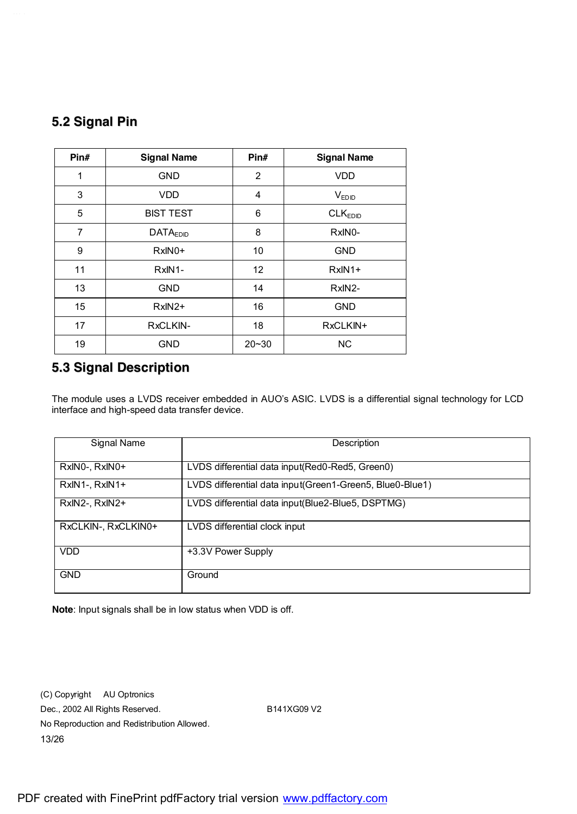## **5.2 Signal Pin**

| Pin# | <b>Signal Name</b>   | Pin#      | <b>Signal Name</b>  |
|------|----------------------|-----------|---------------------|
| 1    | <b>GND</b>           | 2         | <b>VDD</b>          |
| 3    | <b>VDD</b>           | 4         | $V_{EDID}$          |
| 5    | <b>BIST TEST</b>     | 6         | CLK <sub>EDID</sub> |
| 7    | DATA <sub>EDID</sub> | 8         | RxIN0-              |
| 9    | $RxIN0+$             | 10        | <b>GND</b>          |
| 11   | RxIN1-               | 12        | $RxIN1+$            |
| 13   | <b>GND</b>           | 14        | RxIN2-              |
| 15   | $RxIN2+$             | 16        | <b>GND</b>          |
| 17   | RxCLKIN-             | 18        | RxCLKIN+            |
| 19   | <b>GND</b>           | $20 - 30$ | <b>NC</b>           |

#### **5.3 Signal Description**

The module uses a LVDS receiver embedded in AUO's ASIC. LVDS is a differential signal technology for LCD interface and high-speed data transfer device.

| Signal Name         | Description                                               |
|---------------------|-----------------------------------------------------------|
| RxINO-, RxINO+      | LVDS differential data input(Red0-Red5, Green0)           |
| RxIN1-, RxIN1+      | LVDS differential data input (Green1-Green5, Blue0-Blue1) |
| RxIN2-, RxIN2+      | LVDS differential data input(Blue2-Blue5, DSPTMG)         |
| RxCLKIN-, RxCLKIN0+ | LVDS differential clock input                             |
| <b>VDD</b>          | +3.3V Power Supply                                        |
| <b>GND</b>          | Ground                                                    |

**Note**: Input signals shall be in low status when VDD is off.

(C) Copyright AU Optronics Dec., 2002 All Rights Reserved. B141XG09 V2 No Reproduction and Redistribution Allowed. 13/26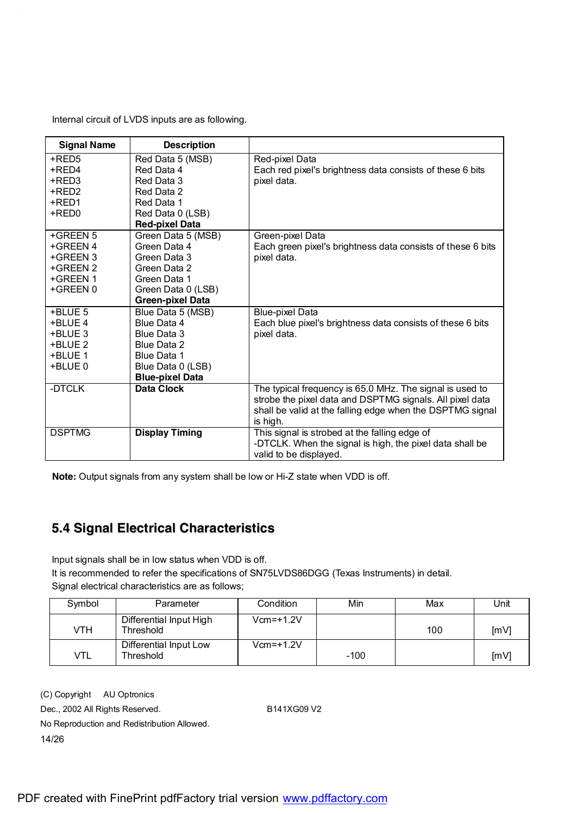Internal circuit of LVDS inputs are as following.

| <b>Signal Name</b> | <b>Description</b>      |                                                             |
|--------------------|-------------------------|-------------------------------------------------------------|
| +RED5              | Red Data 5 (MSB)        | Red-pixel Data                                              |
| +RED4              | Red Data 4              | Each red pixel's brightness data consists of these 6 bits   |
| +RED3              | Red Data 3              | pixel data.                                                 |
| +RED2              | Red Data 2              |                                                             |
| +RED1              | Red Data 1              |                                                             |
| +RED0              | Red Data 0 (LSB)        |                                                             |
|                    | <b>Red-pixel Data</b>   |                                                             |
| +GREEN 5           | Green Data 5 (MSB)      | Green-pixel Data                                            |
| +GREEN 4           | Green Data 4            | Each green pixel's brightness data consists of these 6 bits |
| +GREEN 3           | Green Data 3            | pixel data.                                                 |
| +GREEN 2           | Green Data 2            |                                                             |
| +GREEN 1           | Green Data 1            |                                                             |
| +GREEN 0           | Green Data 0 (LSB)      |                                                             |
|                    | <b>Green-pixel Data</b> |                                                             |
| +BLUE 5            | Blue Data 5 (MSB)       | <b>Blue-pixel Data</b>                                      |
| +BLUE 4            | Blue Data 4             | Each blue pixel's brightness data consists of these 6 bits  |
| +BLUE 3            | Blue Data 3             | pixel data.                                                 |
| +BLUE 2            | Blue Data 2             |                                                             |
| +BLUE 1            | Blue Data 1             |                                                             |
| +BLUE 0            | Blue Data 0 (LSB)       |                                                             |
|                    | <b>Blue-pixel Data</b>  |                                                             |
| -DTCLK             | Data Clock              | The typical frequency is 65.0 MHz. The signal is used to    |
|                    |                         | strobe the pixel data and DSPTMG signals. All pixel data    |
|                    |                         | shall be valid at the falling edge when the DSPTMG signal   |
|                    |                         | is high.                                                    |
| <b>DSPTMG</b>      | <b>Display Timing</b>   | This signal is strobed at the falling edge of               |
|                    |                         | -DTCLK. When the signal is high, the pixel data shall be    |
|                    |                         | valid to be displayed.                                      |

**Note:** Output signals from any system shall be low or Hi-Z state when VDD is off.

#### **5.4 Signal Electrical Characteristics**

Input signals shall be in low status when VDD is off.

It is recommended to refer the specifications of SN75LVDS86DGG (Texas Instruments) in detail. Signal electrical characteristics are as follows:

|        | pignal cloculour originately listed are not one way |             |        |     |      |
|--------|-----------------------------------------------------|-------------|--------|-----|------|
| Symbol | Parameter                                           | Condition   | Min    | Max | Unit |
| VTH    | Differential Input High<br>Threshold                | $Vcm=+1.2V$ |        | 100 | [mV] |
| VTL    | Differential Input Low<br>Threshold                 | $Vcm=+1.2V$ | $-100$ |     | [mV] |

(C) Copyright AU Optronics Dec., 2002 All Rights Reserved. B141XG09 V2 No Reproduction and Redistribution Allowed. 14/26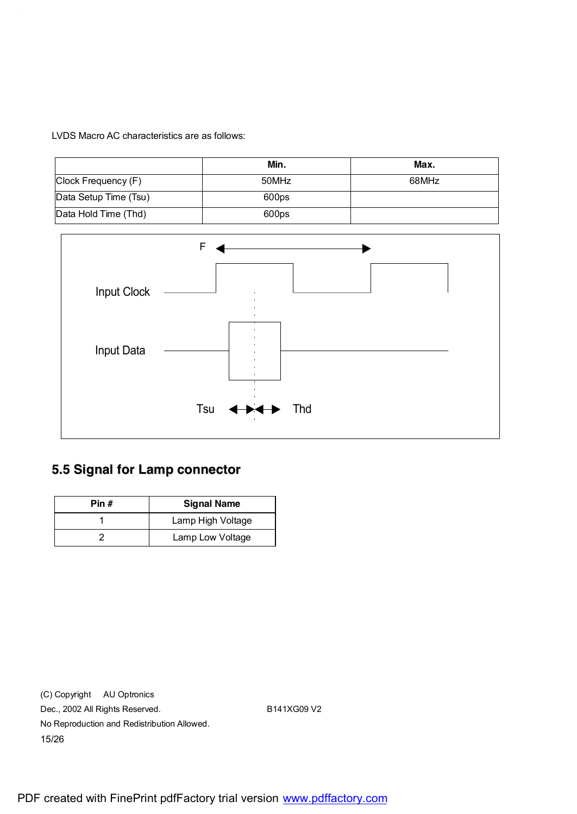LVDS Macro AC characteristics are as follows:

|                       | Min.  | Max.  |
|-----------------------|-------|-------|
| Clock Frequency (F)   | 50MHz | 68MHz |
| Data Setup Time (Tsu) | 600ps |       |
| Data Hold Time (Thd)  | 600ps |       |



## **5.5 Signal for Lamp connector**

| Pin # | <b>Signal Name</b> |
|-------|--------------------|
|       | Lamp High Voltage  |
|       | Lamp Low Voltage   |

(C) Copyright AU Optronics Dec., 2002 All Rights Reserved. B141XG09 V2 No Reproduction and Redistribution Allowed. 15/26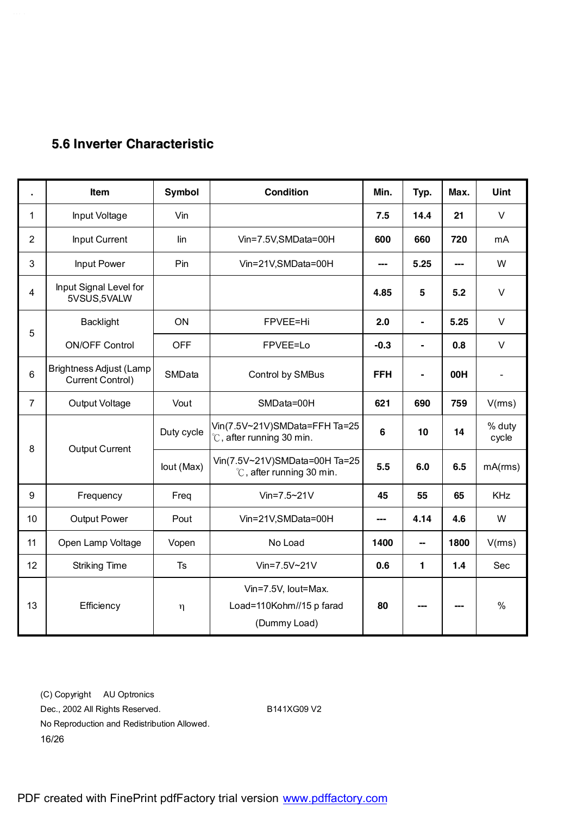## **5.6 Inverter Characteristic**

|                | Item                                               | <b>Symbol</b> | <b>Condition</b>                                                | Min.       | Typ.           | Max.  | <b>Uint</b>     |
|----------------|----------------------------------------------------|---------------|-----------------------------------------------------------------|------------|----------------|-------|-----------------|
| 1              | Input Voltage                                      | Vin           |                                                                 | 7.5        | 14.4           | 21    | $\vee$          |
| $\overline{2}$ | Input Current                                      | lin           | Vin=7.5V,SMData=00H                                             | 600        | 660            | 720   | mA              |
| 3              | Input Power                                        | Pin           | Vin=21V,SMData=00H                                              | ---        | 5.25           | ---   | W               |
| $\overline{4}$ | Input Signal Level for<br>5VSUS,5VALW              |               |                                                                 | 4.85       | 5              | 5.2   | $\vee$          |
| 5              | <b>Backlight</b>                                   | ON            | FPVEE=Hi                                                        | 2.0        | $\blacksquare$ | 5.25  | $\vee$          |
|                | <b>ON/OFF Control</b>                              | <b>OFF</b>    | FPVEE=Lo                                                        | $-0.3$     | ä,             | 0.8   | $\vee$          |
| $6\phantom{1}$ | <b>Brightness Adjust (Lamp</b><br>Current Control) | SMData        | Control by SMBus                                                | <b>FFH</b> | $\blacksquare$ | 00H   | $\blacksquare$  |
| $\overline{7}$ | Output Voltage                                     | Vout          | SMData=00H                                                      | 621        | 690            | 759   | V(rms)          |
|                |                                                    | Duty cycle    | Vin(7.5V~21V)SMData=FFH Ta=25<br>°C, after running 30 min.      | 6          | 10             | 14    | % duty<br>cycle |
| 8              | <b>Output Current</b>                              | lout (Max)    | Vin(7.5V~21V)SMData=00H Ta=25<br>°C, after running 30 min.      | 5.5        | 6.0            | 6.5   | mA(rms)         |
| 9              | Frequency                                          | Freq          | $V$ in=7.5~21 $V$                                               | 45         | 55             | 65    | KHz             |
| 10             | <b>Output Power</b>                                | Pout          | Vin=21V,SMData=00H                                              | ---        | 4.14           | 4.6   | W               |
| 11             | Open Lamp Voltage                                  | Vopen         | No Load                                                         | 1400       | --             | 1800  | V(rms)          |
| 12             | <b>Striking Time</b>                               | Ts            | $V$ in=7.5V~21V                                                 | 0.6        | $\mathbf{1}$   | $1.4$ | Sec             |
| 13             | Efficiency                                         | $\eta$        | Vin=7.5V, lout=Max.<br>Load=110Kohm//15 p farad<br>(Dummy Load) | 80         |                |       | $\frac{0}{0}$   |

(C) Copyright AU Optronics Dec., 2002 All Rights Reserved. B141XG09 V2 No Reproduction and Redistribution Allowed. 16/26

PDF created with FinePrint pdfFactory trial version [www.pdffactory.com](http://www.pdffactory.com)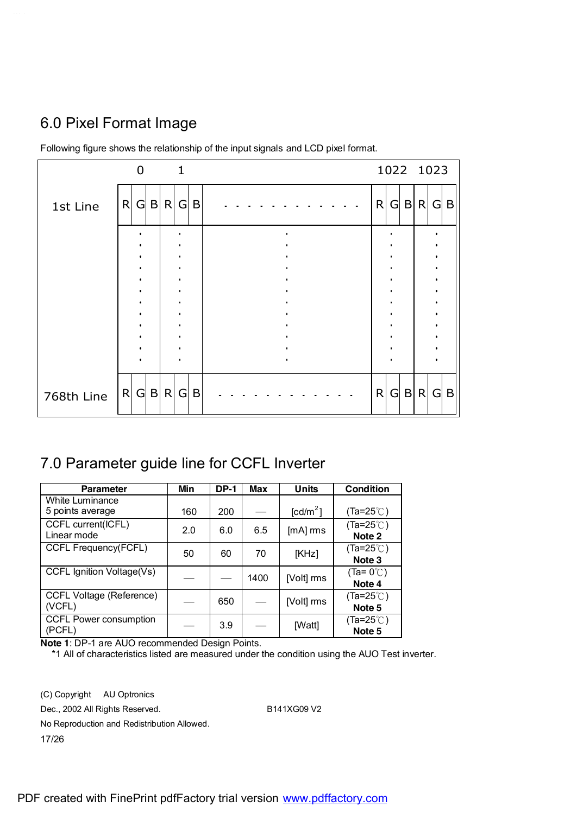# 6.0 Pixel Format Image

|            |              |           |     | 1 |            |   |  | 1022 1023 |            |  |
|------------|--------------|-----------|-----|---|------------|---|--|-----------|------------|--|
| 1st Line   | $\mathsf{R}$ | G         | B R | G | B          | R |  | G B R     | G B        |  |
|            |              |           |     |   |            |   |  |           |            |  |
|            |              |           |     |   |            |   |  |           |            |  |
|            |              |           |     |   |            |   |  |           |            |  |
|            |              |           |     |   |            |   |  |           |            |  |
|            |              |           |     |   |            |   |  |           |            |  |
| 768th Line |              | $R$ G B R |     |   | $G \mid B$ | R |  | G B R     | $G \mid B$ |  |

Following figure shows the relationship of the input signals and LCD pixel format.

## 7.0 Parameter guide line for CCFL Inverter

| <b>Parameter</b>                          | Min | <b>DP-1</b> | Max  | Units              | <b>Condition</b>              |
|-------------------------------------------|-----|-------------|------|--------------------|-------------------------------|
| White Luminance<br>5 points average       | 160 | 200         |      | $\text{[cd/m}^2$ ] | (Ta=25 $°C$ )                 |
| CCFL current(ICFL)<br>Linear mode         | 2.0 | 6.0         | 6.5  | [mA] rms           | $(Ta=25^{\circ}C)$<br>Note 2  |
| CCFL Frequency(FCFL)                      | 50  | 60          | 70   | [KHz]              | $(Ta=25^{\circ}$ C)<br>Note 3 |
| CCFL Ignition Voltage(Vs)                 |     |             | 1400 | [Volt] rms         | $(Ta=0^{\circ}$ C)<br>Note 4  |
| <b>CCFL Voltage (Reference)</b><br>(VCFL) |     | 650         |      | [Volt] ms          | $(Ta=25^{\circ}$ C)<br>Note 5 |
| CCFL Power consumption<br>(PCFL)          |     | 3.9         |      | [Watt]             | (Ta=25 $°C$ )<br>Note 5       |

**Note 1**: DP-1 are AUO recommended Design Points.

\*1 All of characteristics listed are measured under the condition using the AUO Test inverter.

(C) Copyright AU Optronics Dec., 2002 All Rights Reserved. B141XG09 V2 No Reproduction and Redistribution Allowed. 17/26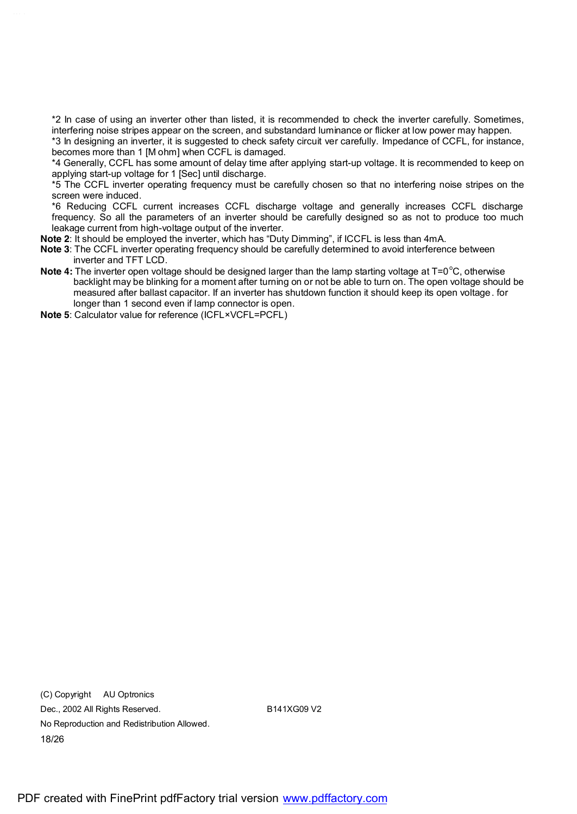\*2 In case of using an inverter other than listed, it is recommended to check the inverter carefully. Sometimes, interfering noise stripes appear on the screen, and substandard luminance or flicker at low power may happen.

\*3 In designing an inverter, it is suggested to check safety circuit ver carefully. Impedance of CCFL, for instance, becomes more than 1 [M ohm] when CCFL is damaged.

\*4 Generally, CCFL has some amount of delay time after applying start-up voltage. It is recommended to keep on applying start-up voltage for 1 [Sec] until discharge.

\*5 The CCFL inverter operating frequency must be carefully chosen so that no interfering noise stripes on the screen were induced.

\*6 Reducing CCFL current increases CCFL discharge voltage and generally increases CCFL discharge frequency. So all the parameters of an inverter should be carefully designed so as not to produce too much leakage current from high-voltage output of the inverter.

**Note 2**: It should be employed the inverter, which has "Duty Dimming", if ICCFL is less than 4mA.

**Note 3**: The CCFL inverter operating frequency should be carefully determined to avoid interference between inverter and TFT LCD.

Note 4: The inverter open voltage should be designed larger than the lamp starting voltage at T=0<sup>o</sup>C, otherwise backlight may be blinking for a moment after turning on or not be able to turn on. The open voltage should be measured after ballast capacitor. If an inverter has shutdown function it should keep its open voltage. for longer than 1 second even if lamp connector is open.

**Note 5**: Calculator value for reference (ICFL×VCFL=PCFL)

(C) Copyright AU Optronics Dec., 2002 All Rights Reserved. B141XG09 V2 No Reproduction and Redistribution Allowed. 18/26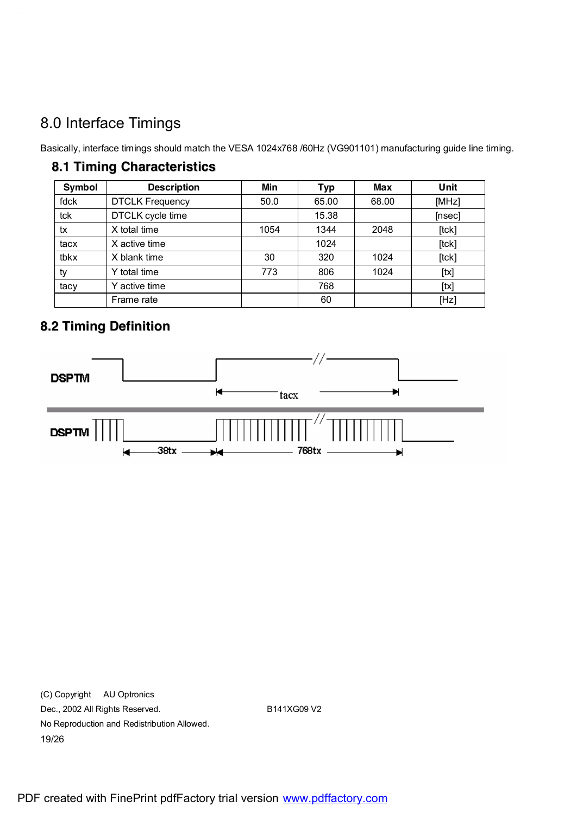# 8.0 Interface Timings

Basically, interface timings should match the VESA 1024x768 /60Hz (VG901101) manufacturing guide line timing.

#### **8.1 Timing Characteristics**

| <b>Symbol</b> | <b>Description</b>     | Min  | <b>Typ</b> | <b>Max</b> | Unit        |
|---------------|------------------------|------|------------|------------|-------------|
| fdck          | <b>DTCLK Frequency</b> | 50.0 | 65.00      | 68.00      | [MHz]       |
| tck           | DTCLK cycle time       |      | 15.38      |            | [nsec]      |
| tx            | X total time           | 1054 | 1344       | 2048       | $[$ tck $]$ |
| tacx          | X active time          |      | 1024       |            | $[$ tck $]$ |
| tbkx          | X blank time           | 30   | 320        | 1024       | [tck]       |
| ty            | Y total time           | 773  | 806        | 1024       | [tx]        |
| tacy          | Y active time          |      | 768        |            | [tx]        |
|               | Frame rate             |      | 60         |            | [Hz]        |

## **8.2 Timing Definition**



(C) Copyright AU Optronics Dec., 2002 All Rights Reserved. B141XG09 V2 No Reproduction and Redistribution Allowed. 19/26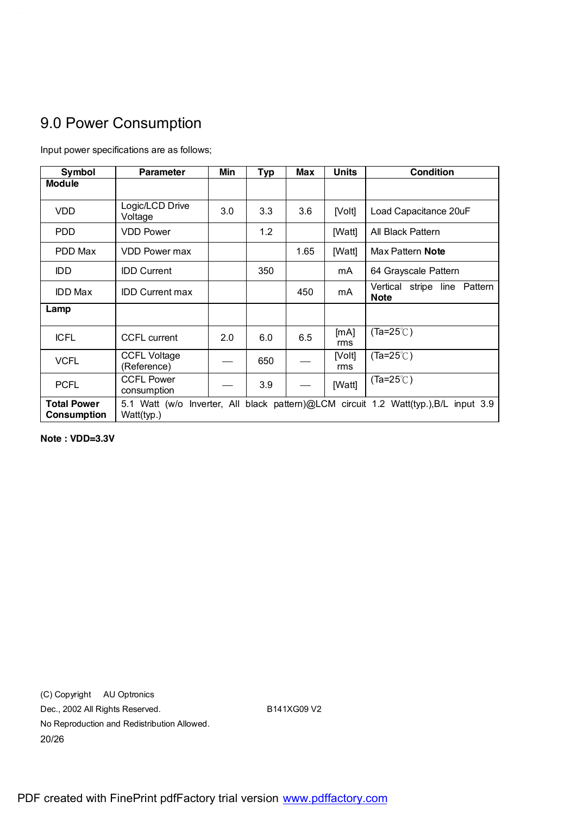# 9.0 Power Consumption

| Symbol                                   | <b>Parameter</b>                   | Min | Typ | <b>Max</b> | <b>Units</b>  | Condition                                                                           |
|------------------------------------------|------------------------------------|-----|-----|------------|---------------|-------------------------------------------------------------------------------------|
| <b>Module</b>                            |                                    |     |     |            |               |                                                                                     |
| <b>VDD</b>                               | Logic/LCD Drive<br>Voltage         | 3.0 | 3.3 | 3.6        | [Volt]        | Load Capacitance 20uF                                                               |
| <b>PDD</b>                               | <b>VDD Power</b>                   |     | 1.2 |            | [Watt]        | All Black Pattern                                                                   |
| PDD Max                                  | VDD Power max                      |     |     | 1.65       | [Watt]        | Max Pattern Note                                                                    |
| IDD.                                     | <b>IDD Current</b>                 |     | 350 |            | mA            | 64 Grayscale Pattern                                                                |
| <b>IDD Max</b>                           | <b>IDD Current max</b>             |     |     | 450        | mA            | Vertical stripe line Pattern<br><b>Note</b>                                         |
| Lamp                                     |                                    |     |     |            |               |                                                                                     |
| <b>ICFL</b>                              | <b>CCFL</b> current                | 2.0 | 6.0 | 6.5        | [mA]<br>rms   | $(Ta=25^{\circ}$                                                                    |
| <b>VCFL</b>                              | <b>CCFL Voltage</b><br>(Reference) |     | 650 |            | [Volt]<br>rms | $(Ta=25^{\circ}$                                                                    |
| <b>PCFL</b>                              | <b>CCFL Power</b><br>consumption   |     | 3.9 |            | [Watt]        | $(Ta=25^{\circ}$                                                                    |
| <b>Total Power</b><br><b>Consumption</b> | Watt(typ.)                         |     |     |            |               | 5.1 Watt (w/o Inverter, All black pattern)@LCM circuit 1.2 Watt(typ.),B/L input 3.9 |

Input power specifications are as follows;

**Note : VDD=3.3V**

(C) Copyright AU Optronics Dec., 2002 All Rights Reserved. B141XG09 V2 No Reproduction and Redistribution Allowed. 20/26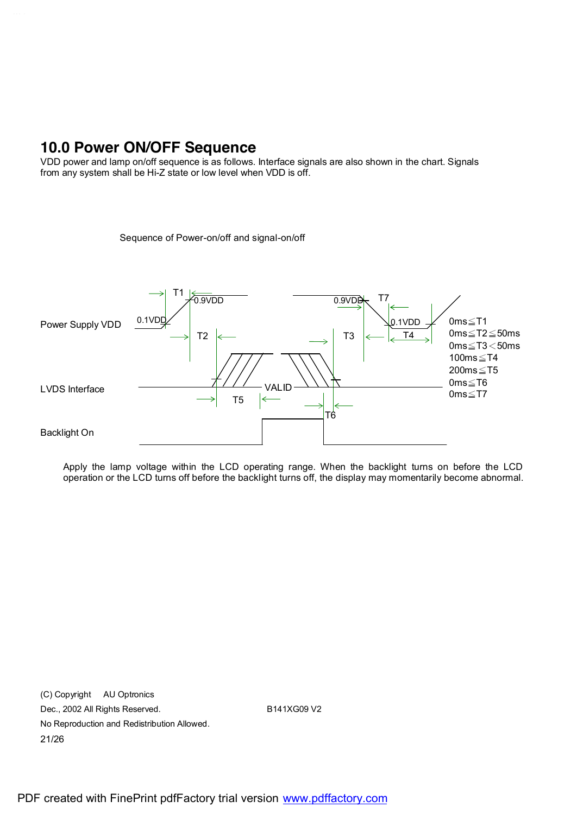## **10.0 Power ON/OFF Sequence**

VDD power and lamp on/off sequence is as follows. Interface signals are also shown in the chart. Signals from any system shall be Hi-Z state or low level when VDD is off.

Sequence of Power-on/off and signal-on/off



Apply the lamp voltage within the LCD operating range. When the backlight turns on before the LCD operation or the LCD turns off before the backlight turns off, the display may momentarily become abnormal.

(C) Copyright AU Optronics Dec., 2002 All Rights Reserved. B141XG09 V2 No Reproduction and Redistribution Allowed. 21/26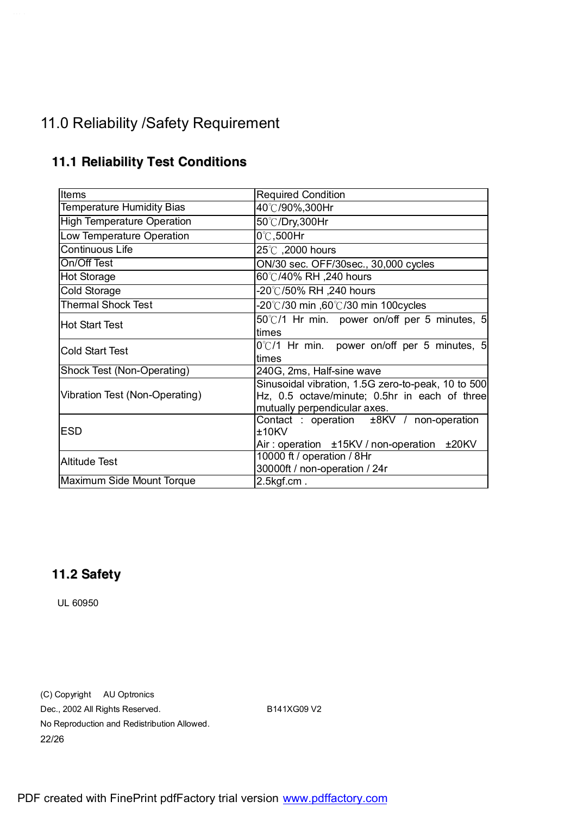# 11.0 Reliability /Safety Requirement

| Items                             | <b>Required Condition</b>                             |  |  |  |  |  |
|-----------------------------------|-------------------------------------------------------|--|--|--|--|--|
| <b>Temperature Humidity Bias</b>  | 40℃/90%,300Hr                                         |  |  |  |  |  |
| <b>High Temperature Operation</b> | 50℃/Dry,300Hr                                         |  |  |  |  |  |
| Low Temperature Operation         | $0^\circ\text{C}$ ,500Hr                              |  |  |  |  |  |
| <b>Continuous Life</b>            | 25°C, 2000 hours                                      |  |  |  |  |  |
| On/Off Test                       | ON/30 sec. OFF/30sec., 30,000 cycles                  |  |  |  |  |  |
| <b>Hot Storage</b>                | 60℃/40% RH ,240 hours                                 |  |  |  |  |  |
| Cold Storage                      | -20℃/50% RH ,240 hours                                |  |  |  |  |  |
| <b>Thermal Shock Test</b>         | -20°C/30 min ,60°C/30 min 100cycles                   |  |  |  |  |  |
| <b>IHot Start Test</b>            | 50°C/1 Hr min. power on/off per 5 minutes, 5          |  |  |  |  |  |
|                                   | times                                                 |  |  |  |  |  |
| <b>Cold Start Test</b>            | $0^{\circ}$ C/1 Hr min. power on/off per 5 minutes, 5 |  |  |  |  |  |
|                                   | times                                                 |  |  |  |  |  |
| Shock Test (Non-Operating)        | 240G, 2ms, Half-sine wave                             |  |  |  |  |  |
|                                   | Sinusoidal vibration, 1.5G zero-to-peak, 10 to 500    |  |  |  |  |  |
| Vibration Test (Non-Operating)    | Hz, 0.5 octave/minute; 0.5hr in each of three         |  |  |  |  |  |
|                                   | mutually perpendicular axes.                          |  |  |  |  |  |
|                                   | Contact : operation $±8$ KV / non-operation           |  |  |  |  |  |
| IESD                              | $±10$ KV                                              |  |  |  |  |  |
|                                   | Air: operation ±15KV / non-operation ±20KV            |  |  |  |  |  |
| Altitude Test                     | 10000 ft / operation / 8Hr                            |  |  |  |  |  |
|                                   | 30000ft / non-operation / 24r                         |  |  |  |  |  |
| Maximum Side Mount Torque         | $2.5$ kgf.cm.                                         |  |  |  |  |  |

### **11.1 Reliability Test Conditions**

## **11.2 Safety**

UL 60950

(C) Copyright AU Optronics Dec., 2002 All Rights Reserved. B141XG09 V2 No Reproduction and Redistribution Allowed. 22/26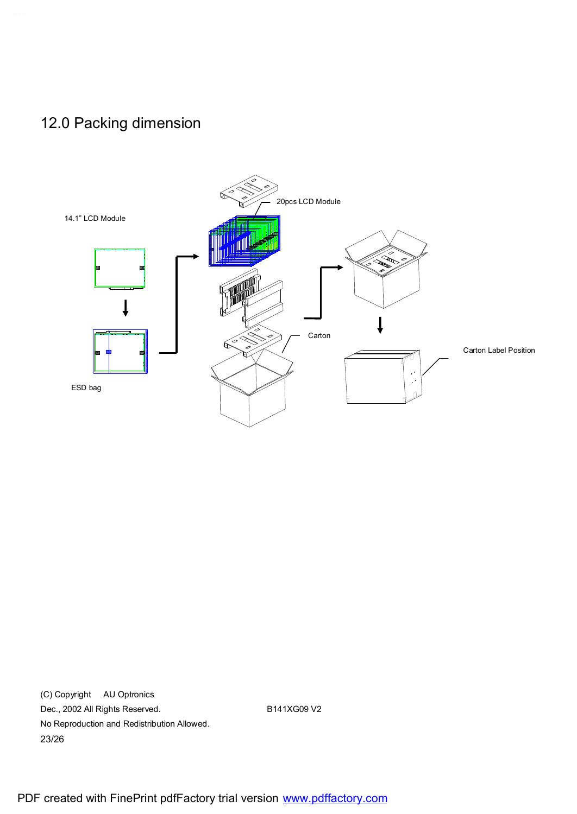# 12.0 Packing dimension



(C) Copyright AU Optronics Dec., 2002 All Rights Reserved. B141XG09 V2 No Reproduction and Redistribution Allowed. 23/26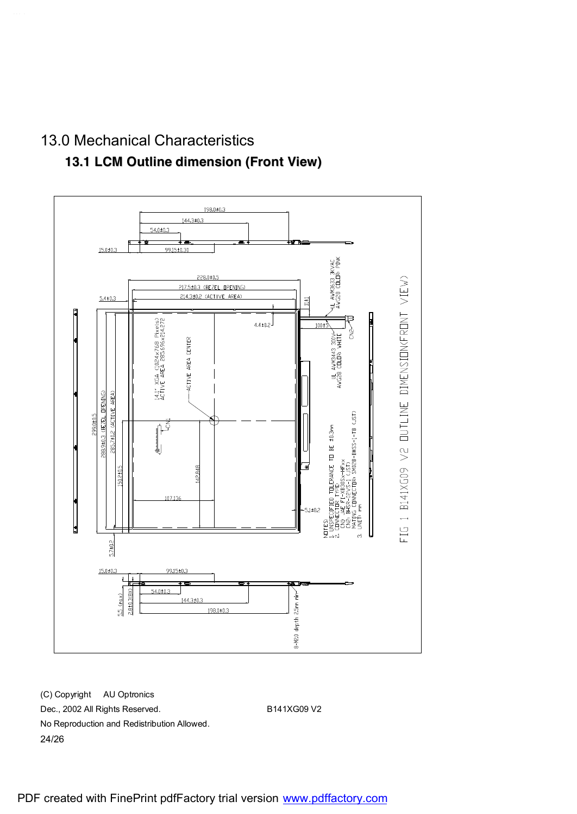## 13.0 Mechanical Characteristics

#### **13.1 LCM Outline dimension (Front View)**



(C) Copyright AU Optronics Dec., 2002 All Rights Reserved. B141XG09 V2 No Reproduction and Redistribution Allowed. 24/26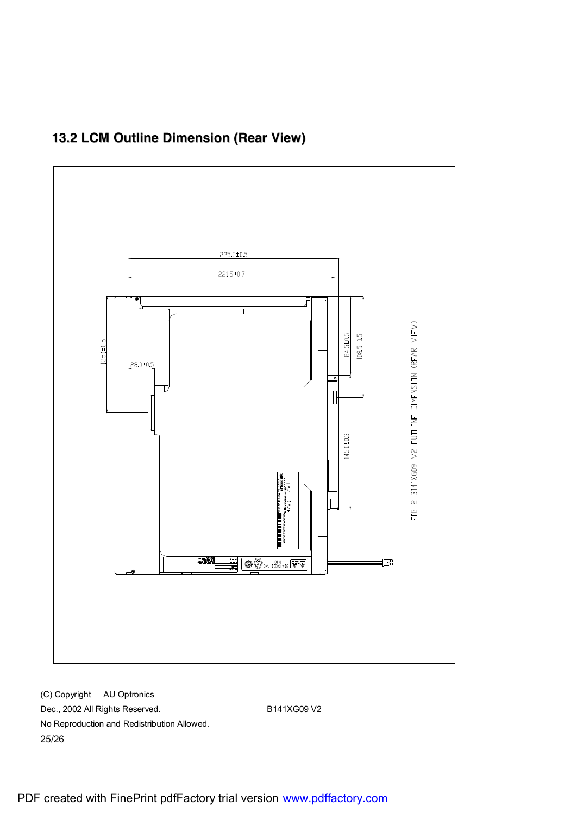

## **13.2 LCM Outline Dimension (Rear View)**

(C) Copyright AU Optronics Dec., 2002 All Rights Reserved. B141XG09 V2 No Reproduction and Redistribution Allowed. 25/26